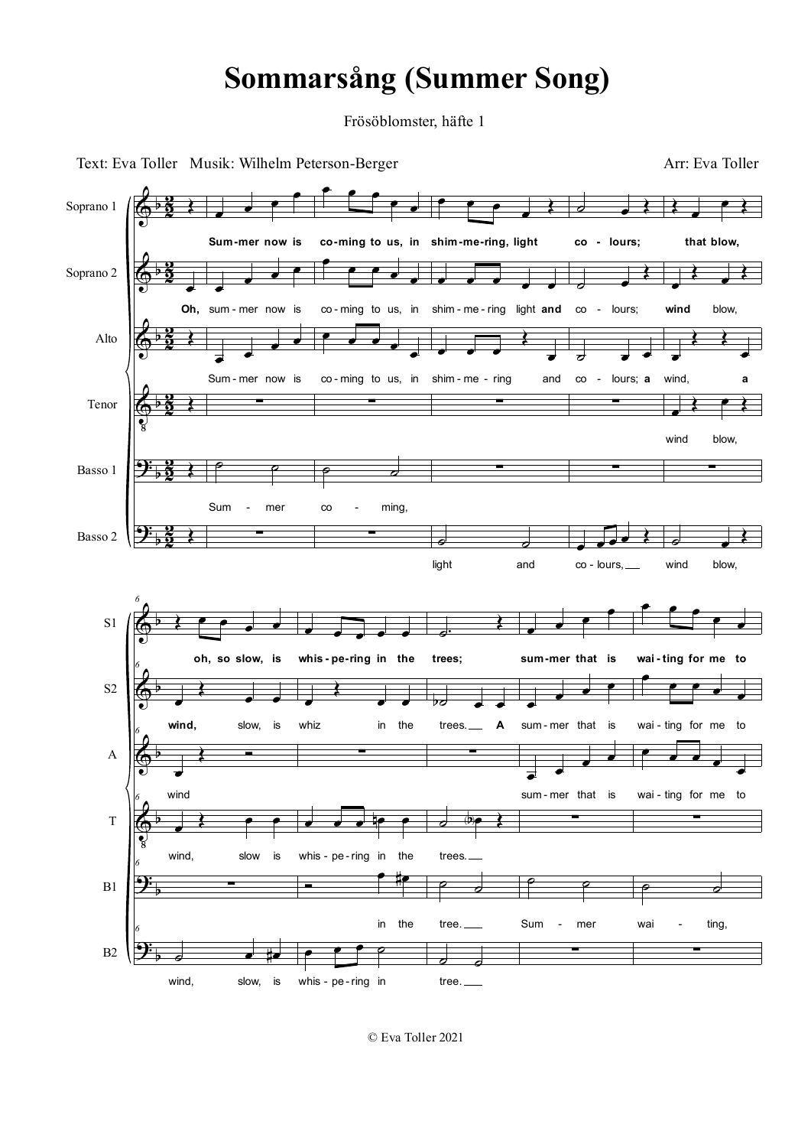## **Sommarsång (Summer Song)**

Frösöblomster, häfte 1



© Eva Toller 2021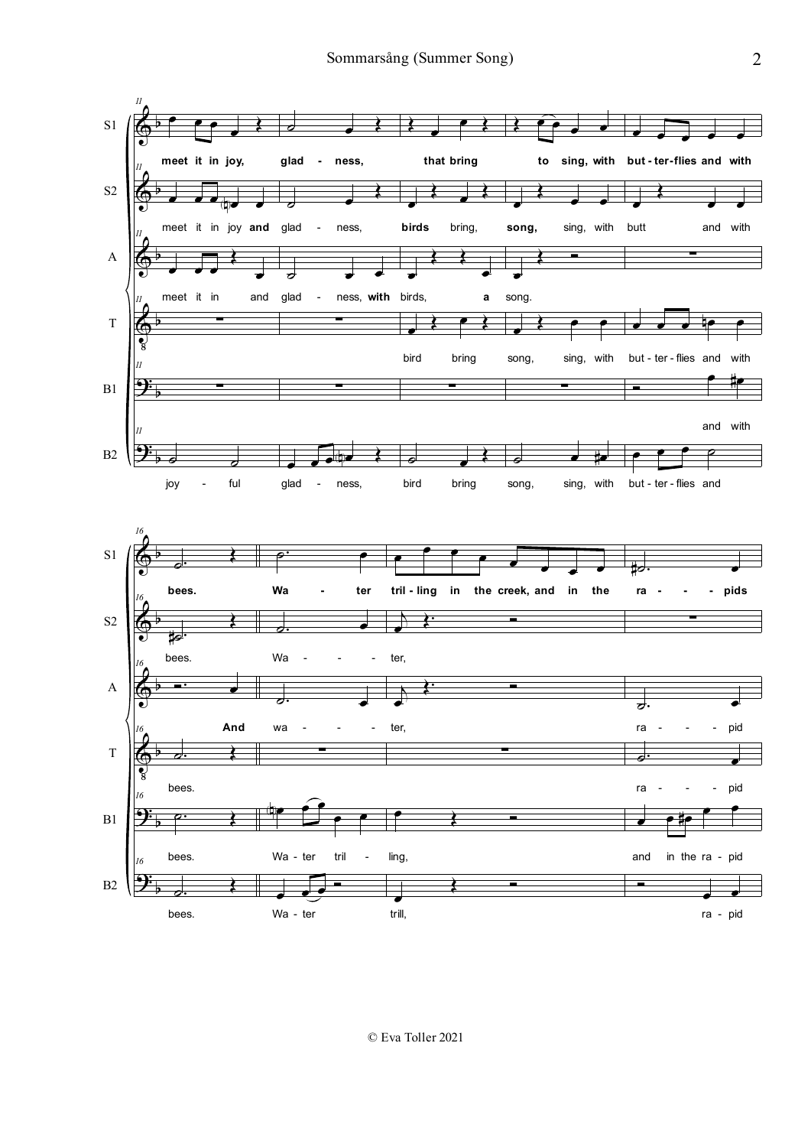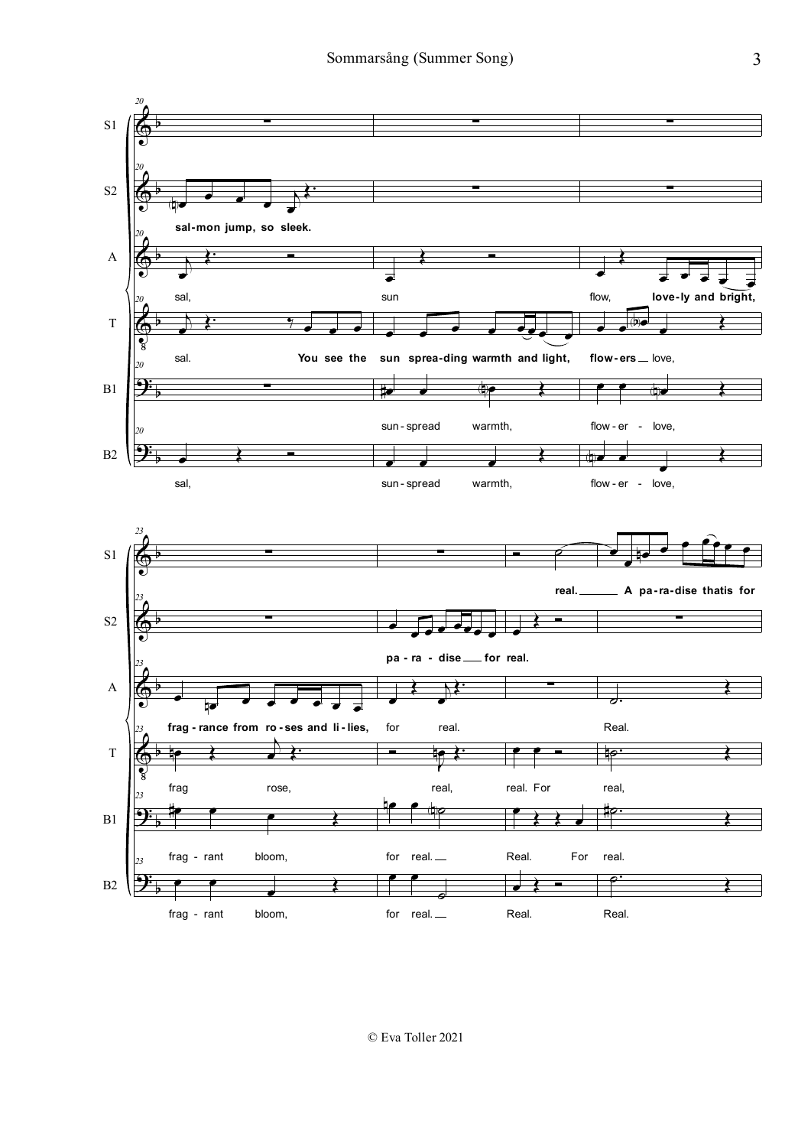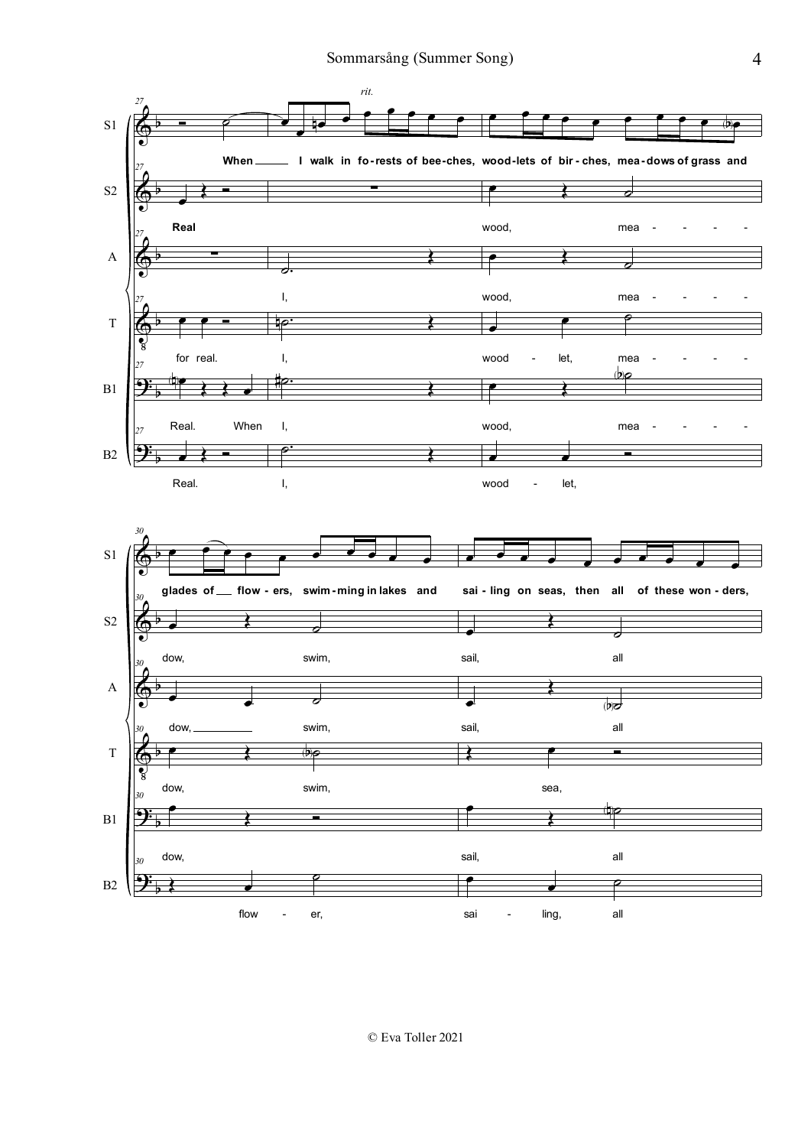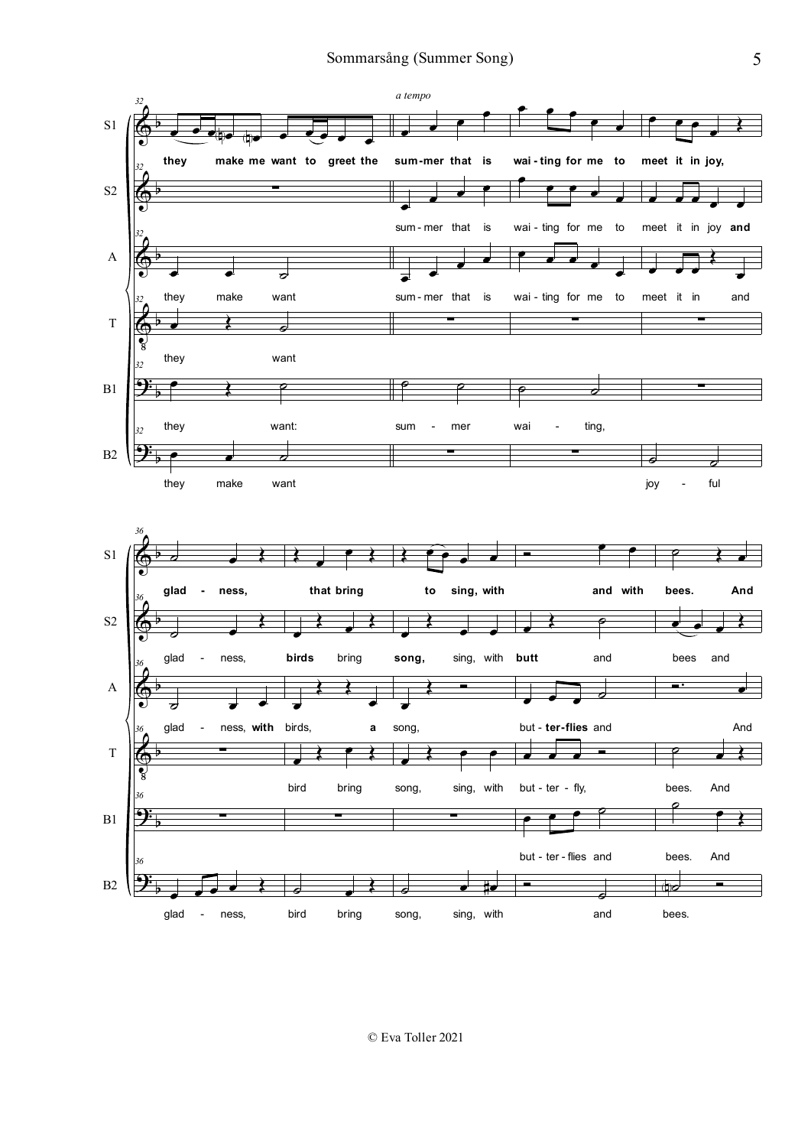

© Eva Toller 2021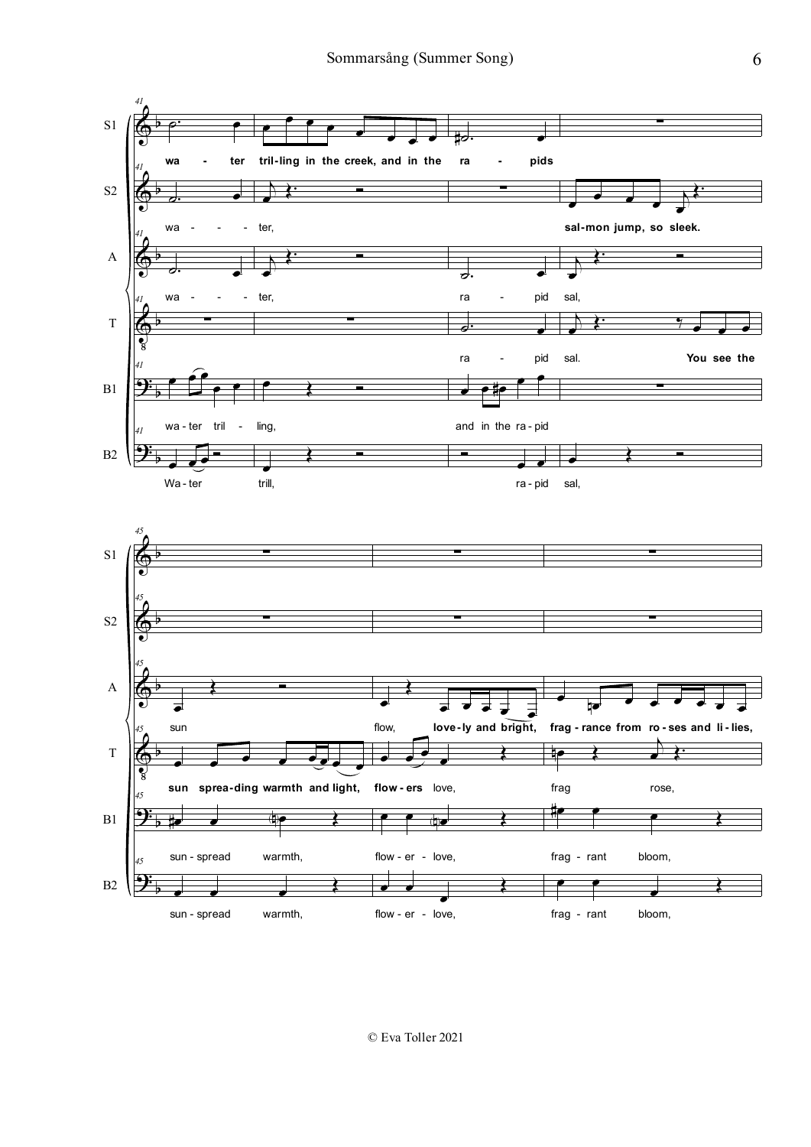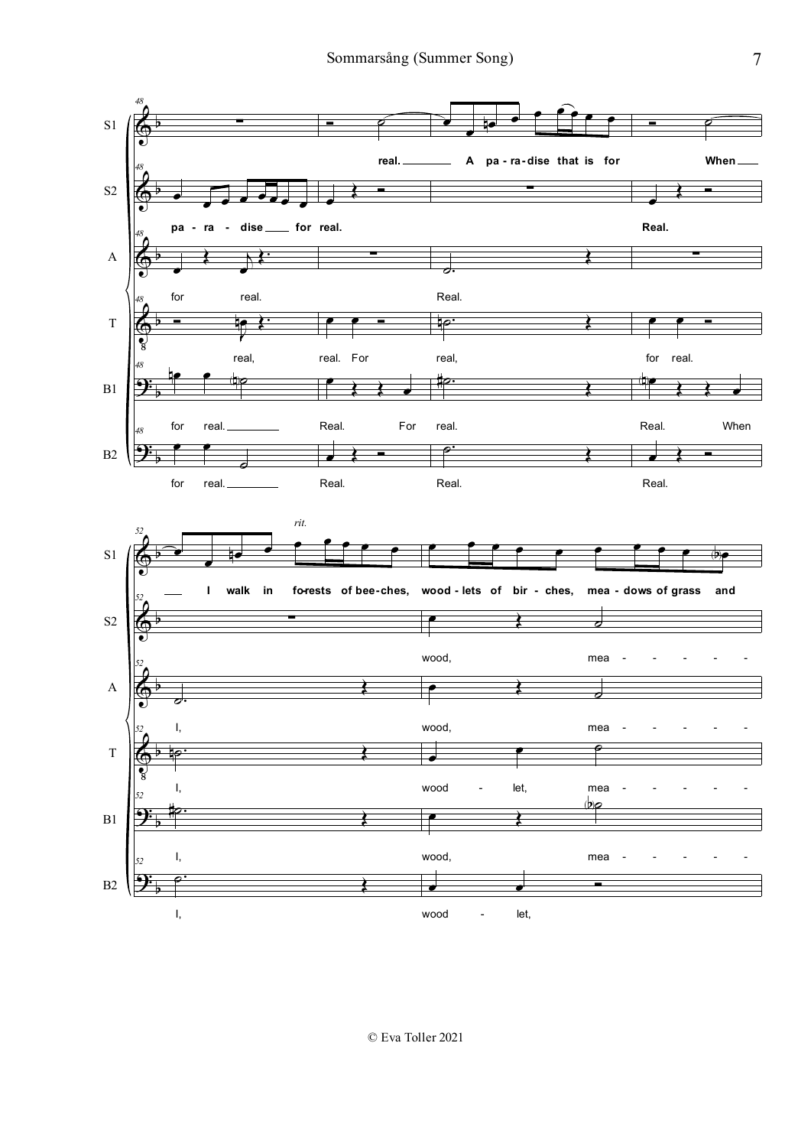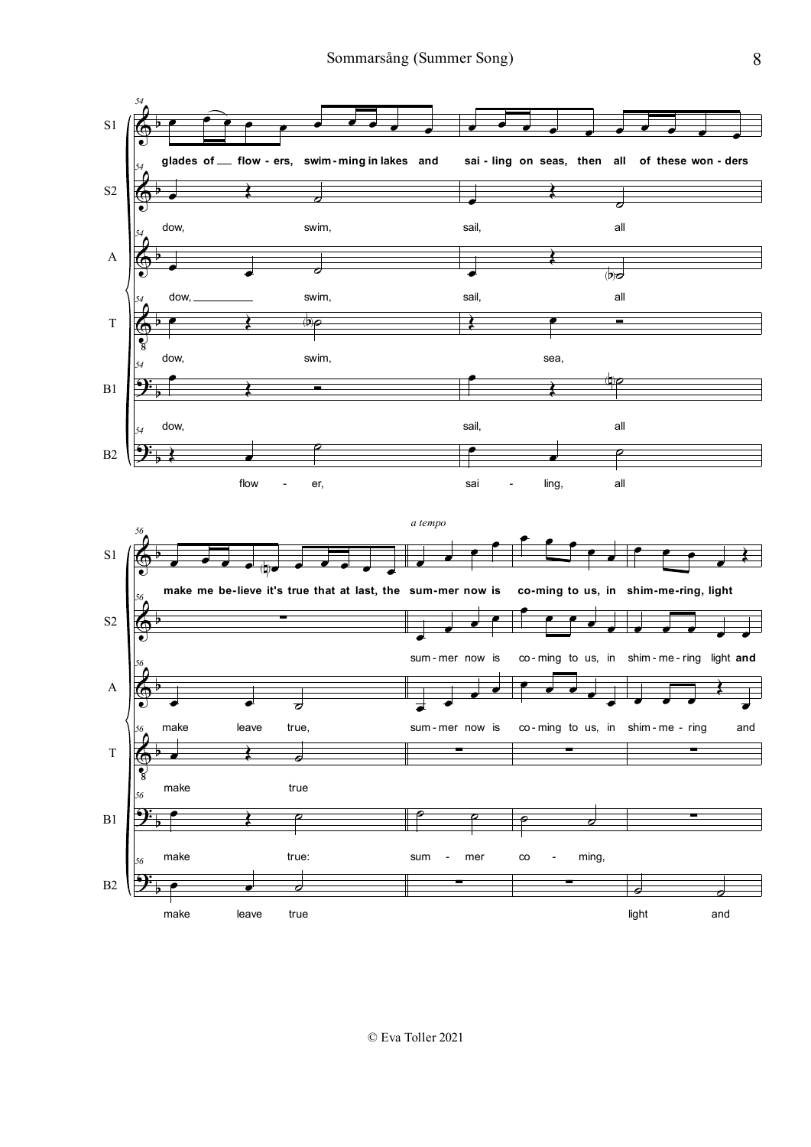